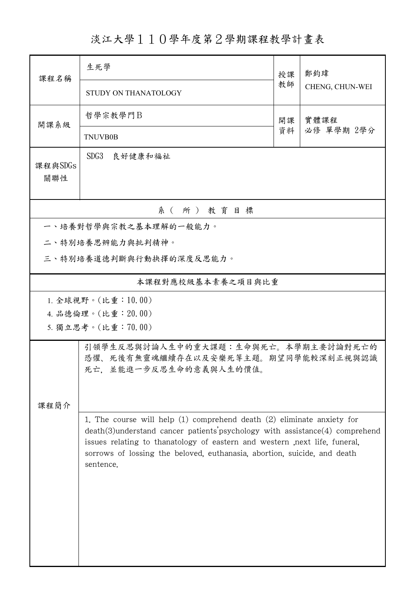## 淡江大學110學年度第2學期課程教學計畫表

| 課程名稱                  | 生死學                                                                                                                                                                                                                                                                                                                                      | 授課       | 鄭鈞瑋<br>CHENG, CHUN-WEI |  |  |  |
|-----------------------|------------------------------------------------------------------------------------------------------------------------------------------------------------------------------------------------------------------------------------------------------------------------------------------------------------------------------------------|----------|------------------------|--|--|--|
|                       | STUDY ON THANATOLOGY                                                                                                                                                                                                                                                                                                                     | 教師       |                        |  |  |  |
| 開課系級                  | 哲學宗教學門B                                                                                                                                                                                                                                                                                                                                  | 開課<br>資料 | 實體課程<br>必修 單學期 2學分     |  |  |  |
|                       | <b>TNUVB0B</b>                                                                                                                                                                                                                                                                                                                           |          |                        |  |  |  |
| 課程與SDGs<br>關聯性        | SDG <sub>3</sub><br>良好健康和福祉                                                                                                                                                                                                                                                                                                              |          |                        |  |  |  |
| 系(所)教育目標              |                                                                                                                                                                                                                                                                                                                                          |          |                        |  |  |  |
| 一、培養對哲學與宗教之基本理解的一般能力。 |                                                                                                                                                                                                                                                                                                                                          |          |                        |  |  |  |
|                       | 二、特別培養思辨能力與批判精神。                                                                                                                                                                                                                                                                                                                         |          |                        |  |  |  |
|                       | 三、特別培養道德判斷與行動抉擇的深度反思能力。                                                                                                                                                                                                                                                                                                                  |          |                        |  |  |  |
|                       | 本課程對應校級基本素養之項目與比重                                                                                                                                                                                                                                                                                                                        |          |                        |  |  |  |
|                       | 1. 全球視野。(比重:10.00)                                                                                                                                                                                                                                                                                                                       |          |                        |  |  |  |
|                       | 4. 品德倫理。(比重: 20.00)                                                                                                                                                                                                                                                                                                                      |          |                        |  |  |  |
| 5. 獨立思考。(比重:70.00)    |                                                                                                                                                                                                                                                                                                                                          |          |                        |  |  |  |
|                       | 引領學生反思與討論人生中的重大課題:生命與死亡。本學期主要討論對死亡的<br>恐懼、死後有無靈魂繼續存在以及安樂死等主題。期望同學能較深刻正視與認識<br>死亡, 並能進一步反思生命的意義與人生的價值。                                                                                                                                                                                                                                    |          |                        |  |  |  |
| 課程簡介                  |                                                                                                                                                                                                                                                                                                                                          |          |                        |  |  |  |
|                       | 1. The course will help $(1)$ comprehend death $(2)$ eliminate anxiety for<br>$death(3)$ understand cancer patients' psychology with assistance $(4)$ comprehend<br>issues relating to thanatology of eastern and western , next life, funeral,<br>sorrows of lossing the beloved, euthanasia, abortion, suicide, and death<br>sentence. |          |                        |  |  |  |
|                       |                                                                                                                                                                                                                                                                                                                                          |          |                        |  |  |  |
|                       |                                                                                                                                                                                                                                                                                                                                          |          |                        |  |  |  |
|                       |                                                                                                                                                                                                                                                                                                                                          |          |                        |  |  |  |
|                       |                                                                                                                                                                                                                                                                                                                                          |          |                        |  |  |  |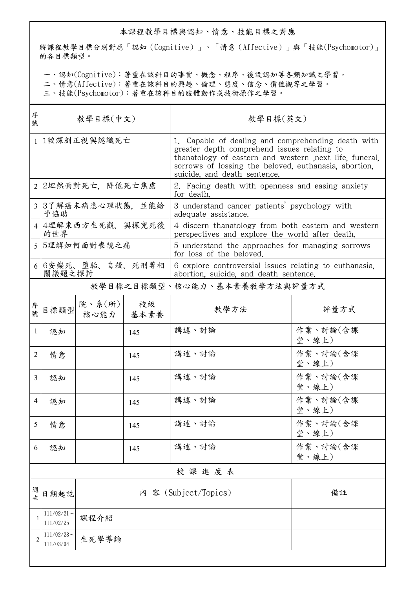## 本課程教學目標與認知、情意、技能目標之對應

將課程教學目標分別對應「認知(Cognitive)」、「情意(Affective)」與「技能(Psychomotor)」 的各目標類型。

一、認知(Cognitive):著重在該科目的事實、概念、程序、後設認知等各類知識之學習。

二、情意(Affective):著重在該科目的興趣、倫理、態度、信念、價值觀等之學習。

三、技能(Psychomotor):著重在該科目的肢體動作或技術操作之學習。

| 序<br>號         | 教學目標(中文)                    |                               |     | 教學目標(英文)                                                                                                                                                                                                                                             |                   |  |  |
|----------------|-----------------------------|-------------------------------|-----|------------------------------------------------------------------------------------------------------------------------------------------------------------------------------------------------------------------------------------------------------|-------------------|--|--|
|                | 1 1較深刻正視與認識死亡               |                               |     | 1. Capable of dealing and comprehending death with<br>greater depth comprehend issues relating to<br>thanatology of eastern and western next life, funeral,<br>sorrows of lossing the beloved, euthanasia, abortion,<br>suicide, and death sentence. |                   |  |  |
|                | 2 2坦然面對死亡,降低死亡焦慮            |                               |     | 2. Facing death with openness and easing anxiety<br>for death.                                                                                                                                                                                       |                   |  |  |
|                | 3 3了解癌末病患心理狀態,並能給<br>予協助    |                               |     | 3 understand cancer patients' psychology with<br>adequate assistance.                                                                                                                                                                                |                   |  |  |
|                | 4 4理解東西方生死觀,與探究死後<br>的世界    |                               |     | 4 discern thanatology from both eastern and western<br>perspectives and explore the world after death.                                                                                                                                               |                   |  |  |
|                | 5 5理解如何面對喪親之痛               |                               |     | 5 understand the approaches for managing sorrows<br>for loss of the beloved.                                                                                                                                                                         |                   |  |  |
|                | 6 6安樂死、墮胎、自殺、死刑等相<br>關議題之探討 |                               |     | 6 explore controversial issues relating to euthanasia.<br>abortion, suicide, and death sentence.                                                                                                                                                     |                   |  |  |
|                |                             |                               |     | 教學目標之目標類型、核心能力、基本素養教學方法與評量方式                                                                                                                                                                                                                         |                   |  |  |
| 序號             | 目標類型                        | 院、系 $(\kappa)$<br>核心能力   基本素養 | 校級  | 教學方法                                                                                                                                                                                                                                                 | 評量方式              |  |  |
| $\mathbf{1}$   | 認知                          |                               | 145 | 講述、討論                                                                                                                                                                                                                                                | 作業、討論(含課<br>堂、線上) |  |  |
| $\overline{2}$ | 情意                          |                               | 145 | 講述、討論                                                                                                                                                                                                                                                | 作業、討論(含課<br>堂、線上) |  |  |
| 3              | 認知                          |                               | 145 | 講述、討論                                                                                                                                                                                                                                                | 作業、討論(含課<br>堂、線上) |  |  |
| 4              | 認知                          |                               | 145 | 講述、討論                                                                                                                                                                                                                                                | 作業、討論(含課<br>堂、線上) |  |  |
| 5              | 情意                          |                               | 145 | 講述、討論                                                                                                                                                                                                                                                | 作業、討論(含課<br>堂、線上) |  |  |
| 6              | 認知                          |                               | 145 | 講述、討論                                                                                                                                                                                                                                                | 作業、討論(含課<br>堂、線上) |  |  |
|                | 授課進度表                       |                               |     |                                                                                                                                                                                                                                                      |                   |  |  |
| 週次             | 日期起訖                        |                               |     | 內 容 (Subject/Topics)                                                                                                                                                                                                                                 | 備註                |  |  |
|                | $111/02/21$ ~<br>111/02/25  | 課程介紹                          |     |                                                                                                                                                                                                                                                      |                   |  |  |
| $\overline{c}$ | $111/02/28$ ~<br>111/03/04  | 生死學導論                         |     |                                                                                                                                                                                                                                                      |                   |  |  |
|                |                             |                               |     |                                                                                                                                                                                                                                                      |                   |  |  |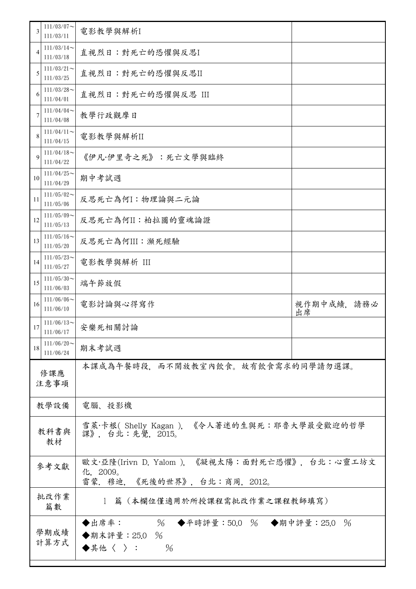| $111/03/07$ ~<br>3<br>111/03/11  | 電影教學與解析I                                                                                   |                  |  |
|----------------------------------|--------------------------------------------------------------------------------------------|------------------|--|
| $111/03/14$ ~<br>4<br>111/03/18  | 直視烈日:對死亡的恐懼與反思I                                                                            |                  |  |
| $111/03/21$ ~<br>5<br>111/03/25  | 直視烈日:對死亡的恐懼與反思II                                                                           |                  |  |
| $111/03/28$ ~<br>6<br>111/04/01  | 直視烈日:對死亡的恐懼與反思 III                                                                         |                  |  |
| $111/04/04$ ~<br>7<br>111/04/08  | 教學行政觀摩日                                                                                    |                  |  |
| $111/04/11$ ~<br>8<br>111/04/15  | 電影教學與解析II                                                                                  |                  |  |
| $111/04/18$ ~<br>9<br>111/04/22  | 《伊凡·伊里奇之死》:死亡文學與臨終                                                                         |                  |  |
| $111/04/25$ ~<br>10<br>111/04/29 | 期中考試週                                                                                      |                  |  |
| $111/05/02$ ~<br>11<br>111/05/06 | 反思死亡為何I:物理論與二元論                                                                            |                  |  |
| $111/05/09$ ~<br>12<br>111/05/13 | 反思死亡為何II:柏拉圖的靈魂論證                                                                          |                  |  |
| $111/05/16$ ~<br>13<br>111/05/20 | 反思死亡為何III:瀕死經驗                                                                             |                  |  |
| $111/05/23$ ~<br>14<br>111/05/27 | 電影教學與解析 III                                                                                |                  |  |
| $111/05/30$ ~<br>15<br>111/06/03 | 端午節放假                                                                                      |                  |  |
| $111/06/06$ ~<br>16<br>111/06/10 | 電影討論與心得寫作                                                                                  | 視作期中成績,請務必<br>出席 |  |
| $111/06/13$ ~<br>17<br>111/06/17 | 安樂死相關討論                                                                                    |                  |  |
| $111/06/20$ ~<br>18<br>111/06/24 | 期末考試週                                                                                      |                  |  |
| 修課應<br>注意事項                      | 本課成為午餐時段,而不開放教室內飲食。故有飲食需求的同學請勿選課。                                                          |                  |  |
| 教學設備                             | 電腦、投影機                                                                                     |                  |  |
| 教科書與<br>教材                       | 雪萊·卡根(Shelly Kagan), 《令人著迷的生與死:耶魯大學最受歡迎的哲學<br>課》, 台北:先覺, 2015。                             |                  |  |
| 參考文獻                             | 歐文·亞隆(Irivn D. Yalom ),《凝視太陽:面對死亡恐懼》,台北:心靈工坊文<br>化, 2009。<br>雷蒙. 穆迪, 《死後的世界》, 台北:商周, 2012。 |                  |  |
| 批改作業<br>篇數                       | 1 篇 (本欄位僅適用於所授課程需批改作業之課程教師填寫)                                                              |                  |  |
| 學期成績<br>計算方式                     | % ◆平時評量:50.0 % ◆期中評量:25.0<br>◆出席率:<br>$\%$<br>◆期末評量: 25.0 %<br>$\frac{0}{6}$<br>◆其他〈 〉:    |                  |  |